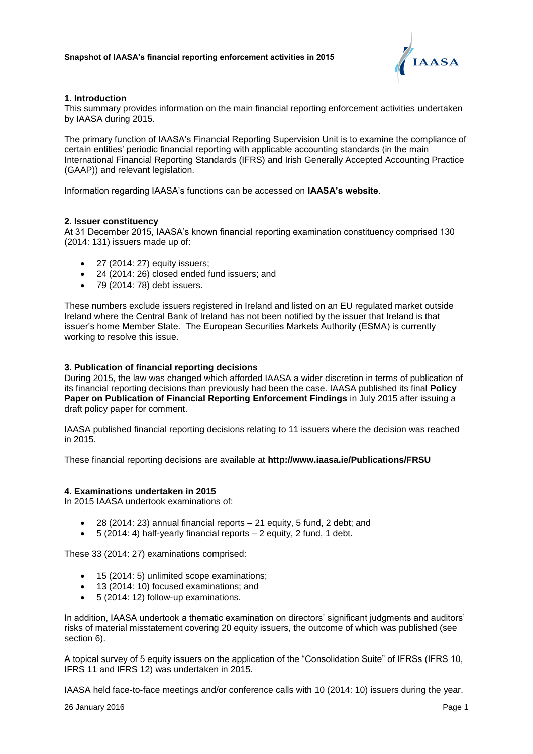

# **1. Introduction**

This summary provides information on the main financial reporting enforcement activities undertaken by IAASA during 2015.

The primary function of IAASA's Financial Reporting Supervision Unit is to examine the compliance of certain entities' periodic financial reporting with applicable accounting standards (in the main International Financial Reporting Standards (IFRS) and Irish Generally Accepted Accounting Practice (GAAP)) and relevant legislation.

Information regarding IAASA's functions can be accessed on **[IAASA's website](http://www.iaasa.ie/)**.

## **2. Issuer constituency**

At 31 December 2015, IAASA's known financial reporting examination constituency comprised 130 (2014: 131) issuers made up of:

- $\bullet$  27 (2014: 27) equity issuers;
- 24 (2014: 26) closed ended fund issuers; and
- 79 (2014: 78) debt issuers.

These numbers exclude issuers registered in Ireland and listed on an EU regulated market outside Ireland where the Central Bank of Ireland has not been notified by the issuer that Ireland is that issuer's home Member State. The European Securities Markets Authority (ESMA) is currently working to resolve this issue.

## **3. Publication of financial reporting decisions**

During 2015, the law was changed which afforded IAASA a wider discretion in terms of publication of its financial reporting decisions than previously had been the case. IAASA published its final **[Policy](http://www.iaasa.ie/getmedia/815203c6-a917-4ee6-985e-036508400053/IAASA_FRSU_Publications_July2015.pdf?ext=.pdf)  [Paper on Publication of Financial Reporting Enforcement Findings](http://www.iaasa.ie/getmedia/815203c6-a917-4ee6-985e-036508400053/IAASA_FRSU_Publications_July2015.pdf?ext=.pdf)** [i](http://www.iaasa.ie/getmedia/815203c6-a917-4ee6-985e-036508400053/IAASA_FRSU_Publications_July2015.pdf?ext=.pdf)n July 2015 after issuing a draft policy paper for comment.

IAASA published financial reporting decisions relating to 11 issuers where the decision was reached in 2015.

These financial reporting decisions are available at **<http://www.iaasa.ie/Publications/FRSU>**

## **4. Examinations undertaken in 2015**

In 2015 IAASA undertook examinations of:

- 28 (2014: 23) annual financial reports 21 equity, 5 fund, 2 debt; and
- $\bullet$  5 (2014: 4) half-yearly financial reports  $-$  2 equity, 2 fund, 1 debt.

These 33 (2014: 27) examinations comprised:

- 15 (2014: 5) unlimited scope examinations;
- 13 (2014: 10) focused examinations; and
- 5 (2014: 12) follow-up examinations.

In addition, IAASA undertook a thematic examination on directors' significant judgments and auditors' risks of material misstatement covering 20 equity issuers, the outcome of which was published (see section 6).

A topical survey of 5 equity issuers on the application of the "Consolidation Suite" of IFRSs (IFRS 10, IFRS 11 and IFRS 12) was undertaken in 2015.

IAASA held face-to-face meetings and/or conference calls with 10 (2014: 10) issuers during the year.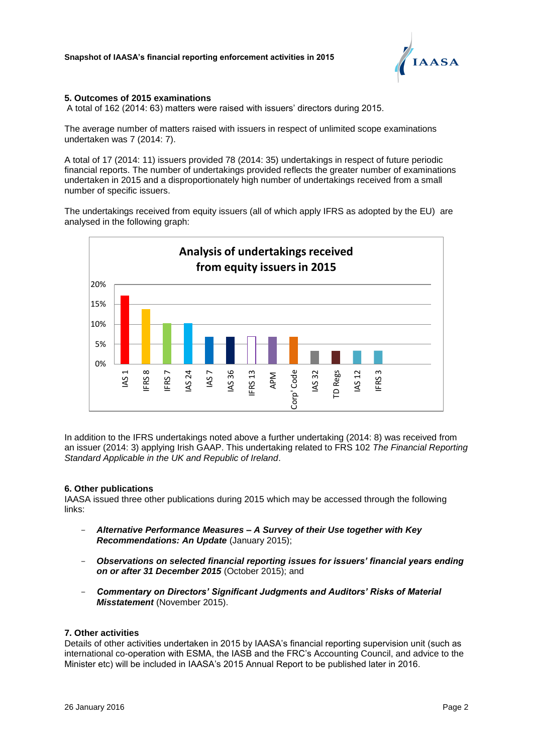

# **5. Outcomes of 2015 examinations**

A total of 162 (2014: 63) matters were raised with issuers' directors during 2015.

The average number of matters raised with issuers in respect of unlimited scope examinations undertaken was 7 (2014: 7).

A total of 17 (2014: 11) issuers provided 78 (2014: 35) undertakings in respect of future periodic financial reports. The number of undertakings provided reflects the greater number of examinations undertaken in 2015 and a disproportionately high number of undertakings received from a small number of specific issuers.

The undertakings received from equity issuers (all of which apply IFRS as adopted by the EU) are analysed in the following graph:



In addition to the IFRS undertakings noted above a further undertaking (2014: 8) was received from an issuer (2014: 3) applying Irish GAAP. This undertaking related to FRS 102 *The Financial Reporting Standard Applicable in the UK and Republic of Ireland*.

## **6. Other publications**

IAASA issued three other publications during 2015 which may be accessed through the following links:

- *Alternative Performance Measures – [A Survey of their Use together with Key](http://www.iaasa.ie/getmedia/3ed051d1-6b1f-4d87-a2d6-e1d361805c74/APM-Paper-2015_120115.pdf)  [Recommendations: An Update](http://www.iaasa.ie/getmedia/3ed051d1-6b1f-4d87-a2d6-e1d361805c74/APM-Paper-2015_120115.pdf)* (January 2015);
- *[Observations on selected financial reporting issues for issuers' financial years ending](http://www.iaasa.ie/getmedia/e4944b73-04f8-4ed2-8b64-4d2e06b2c185/obsdoc2015.pdf?ext=.pdf)  [on or after 31 December 2015](http://www.iaasa.ie/getmedia/e4944b73-04f8-4ed2-8b64-4d2e06b2c185/obsdoc2015.pdf?ext=.pdf)* (October 2015); and
- *[Commentary on Directors' Significant Judgments and Auditors' Risks of Material](http://www.iaasa.ie/getmedia/fb7faca3-ef61-4de0-923a-7688da6be349/2015_11_26-Survey-of-Directors-Critical-Accounting-Judgments-and-Auditors-Assessed-Risks-of-MAterial-Misstatement-clean.pdf?ext=.pdf)  [Misstatement](http://www.iaasa.ie/getmedia/fb7faca3-ef61-4de0-923a-7688da6be349/2015_11_26-Survey-of-Directors-Critical-Accounting-Judgments-and-Auditors-Assessed-Risks-of-MAterial-Misstatement-clean.pdf?ext=.pdf)* (November 2015).

#### **7. Other activities**

Details of other activities undertaken in 2015 by IAASA's financial reporting supervision unit (such as international co-operation with ESMA, the IASB and the FRC's Accounting Council, and advice to the Minister etc) will be included in IAASA's 2015 Annual Report to be published later in 2016.